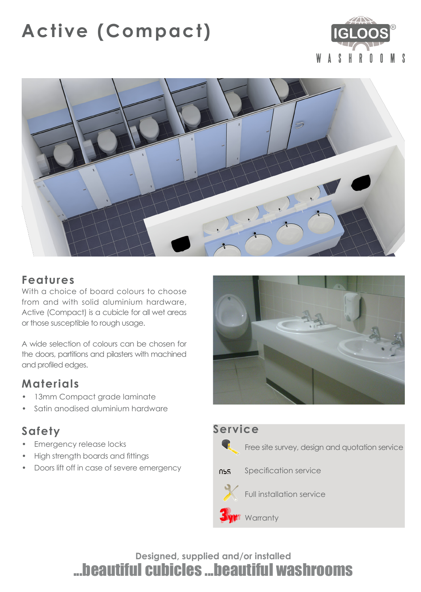# **Active (Compact)**





## **Features**

With a choice of board colours to choose from and with solid aluminium hardware, Active (Compact) is a cubicle for all wet areas or those susceptible to rough usage.

A wide selection of colours can be chosen for the doors, partitions and pilasters with machined and profiled edges.

# **Materials**

- 13mm Compact grade laminate
- Satin anodised aluminium hardware

# **Safety**

- Emergency release locks
- High strength boards and fittings
- Doors lift off in case of severe emergency





**Designed, supplied and/or installed** ...beautiful cubicles ...beautiful washrooms